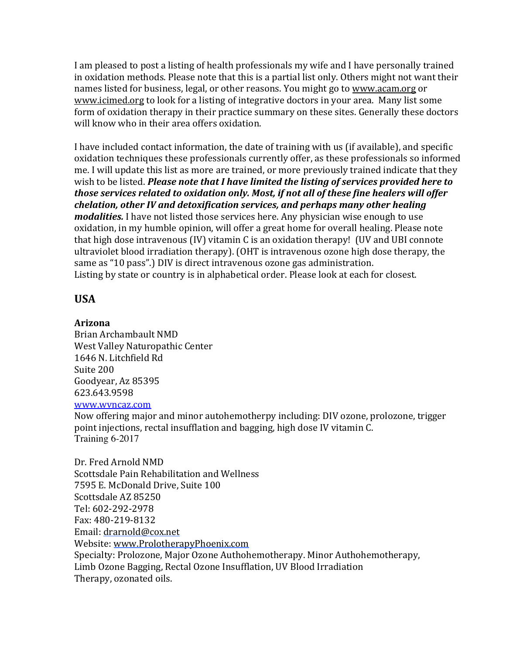I am pleased to post a listing of health professionals my wife and I have personally trained in oxidation methods. Please note that this is a partial list only. Others might not want their names listed for business, legal, or other reasons. You might go to www.acam.org or www.icimed.org to look for a listing of integrative doctors in your area. Many list some form of oxidation therapy in their practice summary on these sites. Generally these doctors will know who in their area offers oxidation.

I have included contact information, the date of training with us (if available), and specific oxidation techniques these professionals currently offer, as these professionals so informed me. I will update this list as more are trained, or more previously trained indicate that they wish to be listed. *Please note that I have limited the listing of services provided here to those services related to oxidation only. Most, if not all of these fine healers will offer chelation, other IV and detoxification services, and perhaps many other healing modalities.* I have not listed those services here. Any physician wise enough to use oxidation, in my humble opinion, will offer a great home for overall healing. Please note that high dose intravenous  $(IV)$  vitamin  $C$  is an oxidation therapy!  $(UV \text{ and } UBI \text{ connect}$ ultraviolet blood irradiation therapy). (OHT is intravenous ozone high dose therapy, the same as "10 pass".) DIV is direct intravenous ozone gas administration. Listing by state or country is in alphabetical order. Please look at each for closest.

## **USA**

## **Arizona**

Brian Archambault NMD West Valley Naturopathic Center 1646 N. Litchfield Rd Suite 200 Goodyear, Az 85395 623.643.9598

## www.wvncaz.com

Now offering major and minor autohemotherpy including: DIV ozone, prolozone, trigger point injections, rectal insufflation and bagging, high dose IV vitamin C. Training 6-2017

Dr. Fred Arnold NMD Scottsdale Pain Rehabilitation and Wellness 7595 E. McDonald Drive, Suite 100 Scottsdale AZ 85250 Tel: 602-292-2978 Fax: 480-219-8132 Email: drarnold@cox.net Website: www.ProlotherapyPhoenix.com Specialty: Prolozone, Major Ozone Authohemotherapy, Minor Authohemotherapy, Limb Ozone Bagging, Rectal Ozone Insufflation, UV Blood Irradiation Therapy, ozonated oils.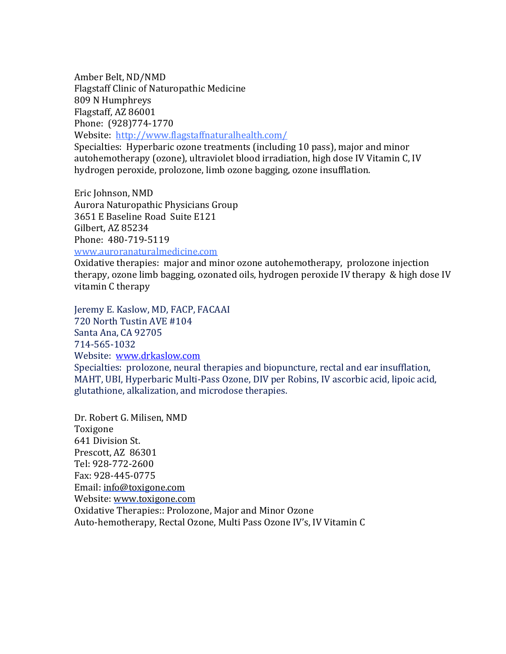Amber Belt, ND/NMD Flagstaff Clinic of Naturopathic Medicine 809 N Humphreys Flagstaff, AZ 86001 Phone: (928)774-1770 Website: http://www.flagstaffnaturalhealth.com/

Specialties: Hyperbaric ozone treatments (including 10 pass), major and minor autohemotherapy (ozone), ultraviolet blood irradiation, high dose IV Vitamin C, IV hydrogen peroxide, prolozone, limb ozone bagging, ozone insufflation.

Eric Johnson, NMD Aurora Naturopathic Physicians Group 3651 E Baseline Road Suite E121 Gilbert, AZ 85234

Phone: 480-719-5119

www.auroranaturalmedicine.com

Oxidative therapies: major and minor ozone autohemotherapy, prolozone injection therapy, ozone limb bagging, ozonated oils, hydrogen peroxide IV therapy  $\&$  high dose IV vitamin C therapy

Jeremy E. Kaslow, MD, FACP, FACAAI 720 North Tustin AVE #104 Santa Ana, CA 92705 714-565-1032 Website: www.drkaslow.com

Specialties: prolozone, neural therapies and biopuncture, rectal and ear insufflation, MAHT, UBI, Hyperbaric Multi-Pass Ozone, DIV per Robins, IV ascorbic acid, lipoic acid, glutathione, alkalization, and microdose therapies.

Dr. Robert G. Milisen, NMD Toxigone **641 Division St.** Prescott, AZ 86301 Tel: 928-772-2600 Fax: 928-445-0775 Email: info@toxigone.com Website: www.toxigone.com Oxidative Therapies:: Prolozone, Major and Minor Ozone Auto-hemotherapy, Rectal Ozone, Multi Pass Ozone IV's, IV Vitamin C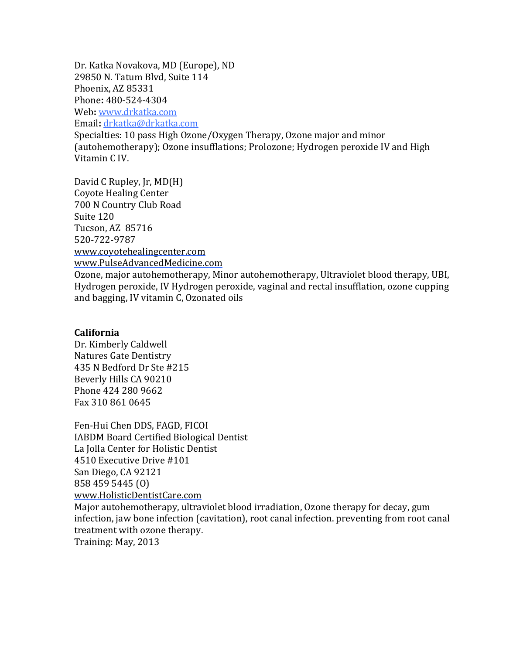Dr. Katka Novakova, MD (Europe), ND 29850 N. Tatum Blvd, Suite 114 Phoenix, AZ 85331 Phone**:** 480-524-4304 Web: www.drkatka.com Email**:** drkatka@drkatka.com

Specialties: 10 pass High Ozone/Oxygen Therapy, Ozone major and minor (autohemotherapy); Ozone insufflations; Prolozone; Hydrogen peroxide IV and High Vitamin C<sub>IV</sub>.

David C Rupley, Jr, MD(H) Coyote Healing Center 700 N Country Club Road Suite 120 Tucson, AZ 85716 520-722-9787 www.coyotehealingcenter.com www.PulseAdvancedMedicine.com Ozone, major autohemotherapy, Minor autohemotherapy, Ultraviolet blood therapy, UBI, Hydrogen peroxide, IV Hydrogen peroxide, vaginal and rectal insufflation, ozone cupping and bagging, IV vitamin C, Ozonated oils

### **California**

Dr. Kimberly Caldwell Natures Gate Dentistry 435 N Bedford Dr Ste #215 Beverly Hills CA 90210 Phone 424 280 9662 Fax 310 861 0645

Fen-Hui Chen DDS, FAGD, FICOI IABDM Board Certified Biological Dentist La Jolla Center for Holistic Dentist 4510 Executive Drive #101 San Diego, CA 92121 858 459 5445 (O) www.HolisticDentistCare.com Major autohemotherapy, ultraviolet blood irradiation, Ozone therapy for decay, gum

infection, jaw bone infection (cavitation), root canal infection. preventing from root canal treatment with ozone therapy.

Training: May, 2013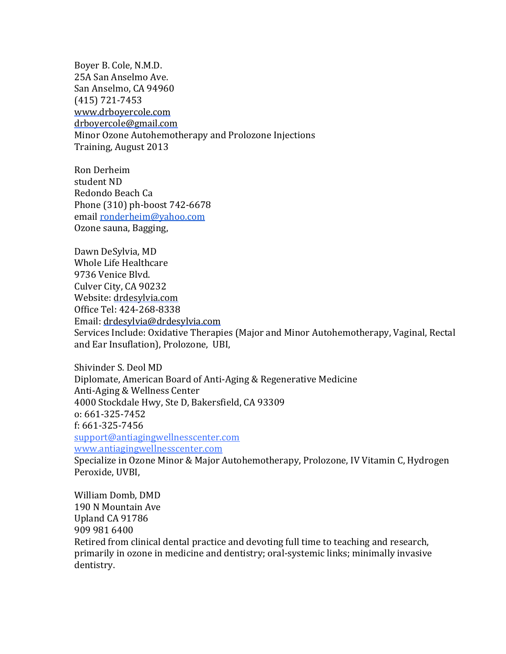Boyer B. Cole, N.M.D. 25A San Anselmo Ave. San Anselmo, CA 94960 (415) 721-7453 www.drboyercole.com drboyercole@gmail.com Minor Ozone Autohemotherapy and Prolozone Injections Training, August 2013

Ron Derheim student ND Redondo Beach Ca Phone (310) ph-boost 742-6678 email ronderheim@yahoo.com Ozone sauna, Bagging,

Dawn DeSylvia, MD Whole Life Healthcare 9736 Venice Blvd. Culver City, CA 90232 Website: drdesylvia.com Office Tel: 424-268-8338 Email: drdesylvia@drdesylvia.com Services Include: Oxidative Therapies (Major and Minor Autohemotherapy, Vaginal, Rectal and Ear Insuflation), Prolozone, UBI,

Shivinder S. Deol MD Diplomate, American Board of Anti-Aging & Regenerative Medicine Anti-Aging & Wellness Center 4000 Stockdale Hwy, Ste D, Bakersfield, CA 93309 o: 661-325-7452 f: 661-325-7456 support@antiagingwellnesscenter.com www.antiagingwellnesscenter.com Specialize in Ozone Minor & Major Autohemotherapy, Prolozone, IV Vitamin C, Hydrogen Peroxide, UVBI,

William Domb, DMD 190 N Mountain Ave Upland CA 91786 909 981 6400 Retired from clinical dental practice and devoting full time to teaching and research, primarily in ozone in medicine and dentistry; oral-systemic links; minimally invasive dentistry.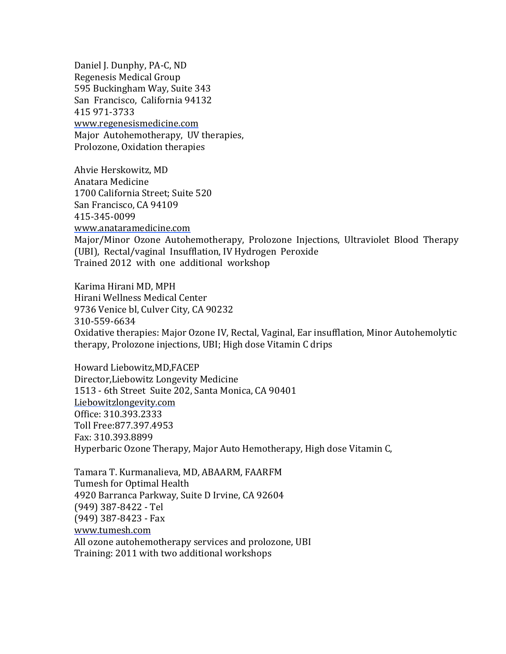Daniel J. Dunphy, PA-C, ND Regenesis Medical Group 595 Buckingham Way, Suite 343 San Francisco, California 94132 415 971-3733 www.regenesismedicine.com Major Autohemotherapy, UV therapies, Prolozone, Oxidation therapies

Ahvie Herskowitz, MD Anatara Medicine 1700 California Street; Suite 520 San Francisco, CA 94109 415-345-0099 www.anataramedicine.com Major/Minor Ozone Autohemotherapy, Prolozone Injections, Ultraviolet Blood Therapy (UBI), Rectal/vaginal Insufflation, IV Hydrogen Peroxide Trained 2012 with one additional workshop

Karima Hirani MD, MPH Hirani Wellness Medical Center 9736 Venice bl, Culver City, CA 90232 310-559-6634 Oxidative therapies: Major Ozone IV, Rectal, Vaginal, Ear insufflation, Minor Autohemolytic therapy, Prolozone injections, UBI; High dose Vitamin C drips

Howard Liebowitz,MD,FACEP Director, Liebowitz Longevity Medicine 1513 - 6th Street Suite 202, Santa Monica, CA 90401 Liebowitzlongevity.com Office: 310.393.2333 Toll Free:877.397.4953 Fax: 310.393.8899 Hyperbaric Ozone Therapy, Major Auto Hemotherapy, High dose Vitamin C,

Tamara T. Kurmanalieva, MD, ABAARM, FAARFM Tumesh for Optimal Health 4920 Barranca Parkway, Suite D Irvine, CA 92604  $(949)$  387-8422 - Tel  $(949)$  387-8423 - Fax www.tumesh.com All ozone autohemotherapy services and prolozone, UBI Training: 2011 with two additional workshops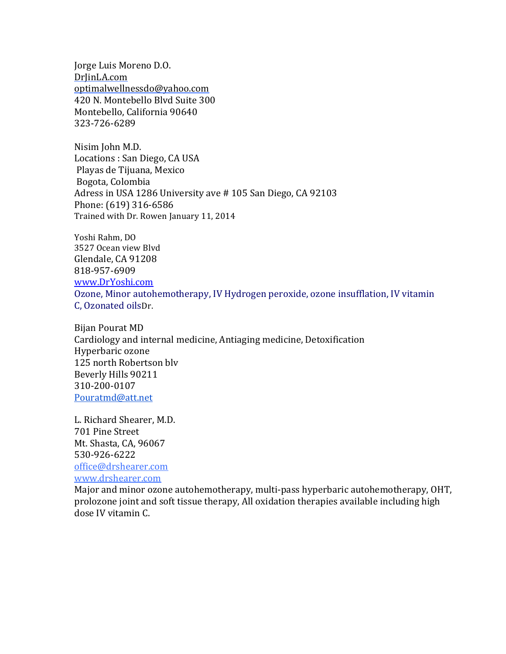Jorge Luis Moreno D.O. DrJinLA.com optimalwellnessdo@yahoo.com 420 N. Montebello Blvd Suite 300 Montebello, California 90640 323-726-6289

Nisim John M.D. Locations : San Diego, CA USA Playas de Tijuana, Mexico Bogota, Colombia Adress in USA 1286 University ave # 105 San Diego, CA 92103 Phone: (619) 316-6586 Trained with Dr. Rowen January 11, 2014

Yoshi Rahm, DO 3527 Ocean view Blvd Glendale, CA 91208 818-957-6909 www.DrYoshi.com Ozone, Minor autohemotherapy, IV Hydrogen peroxide, ozone insufflation, IV vitamin C, Ozonated oilsDr.

Bijan Pourat MD Cardiology and internal medicine, Antiaging medicine, Detoxification Hyperbaric ozone 125 north Robertson blv Beverly Hills 90211 310-200-0107 Pouratmd@att.net

L. Richard Shearer, M.D. 701 Pine Street Mt. Shasta, CA, 96067 530-926-6222 office@drshearer.com www.drshearer.com

Major and minor ozone autohemotherapy, multi-pass hyperbaric autohemotherapy, OHT, prolozone joint and soft tissue therapy, All oxidation therapies available including high dose IV vitamin C.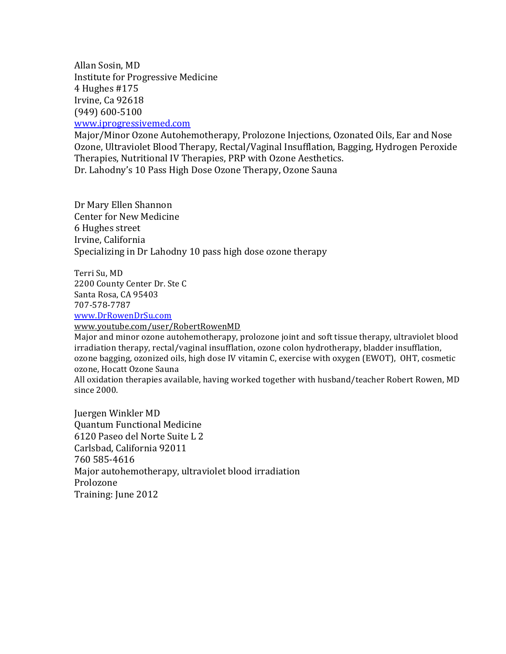Allan Sosin, MD Institute for Progressive Medicine 4 Hughes #175 Irvine, Ca 92618 (949) 600-5100

www.iprogressivemed.com

Major/Minor Ozone Autohemotherapy, Prolozone Injections, Ozonated Oils, Ear and Nose Ozone, Ultraviolet Blood Therapy, Rectal/Vaginal Insufflation, Bagging, Hydrogen Peroxide Therapies, Nutritional IV Therapies, PRP with Ozone Aesthetics. Dr. Lahodny's 10 Pass High Dose Ozone Therapy, Ozone Sauna

Dr Mary Ellen Shannon Center for New Medicine 6 Hughes street Irvine, California Specializing in Dr Lahodny 10 pass high dose ozone therapy

Terri Su, MD 2200 County Center Dr. Ste C Santa Rosa, CA 95403 707-578-7787

www.DrRowenDrSu.com

www.youtube.com/user/RobertRowenMD

Major and minor ozone autohemotherapy, prolozone joint and soft tissue therapy, ultraviolet blood irradiation therapy, rectal/vaginal insufflation, ozone colon hydrotherapy, bladder insufflation, ozone bagging, ozonized oils, high dose IV vitamin C, exercise with oxygen (EWOT), OHT, cosmetic ozone, Hocatt Ozone Sauna

All oxidation therapies available, having worked together with husband/teacher Robert Rowen, MD since 2000.

Juergen Winkler MD Quantum Functional Medicine 6120 Paseo del Norte Suite L 2 Carlsbad, California 92011 760 585-4616 Major autohemotherapy, ultraviolet blood irradiation Prolozone Training: June 2012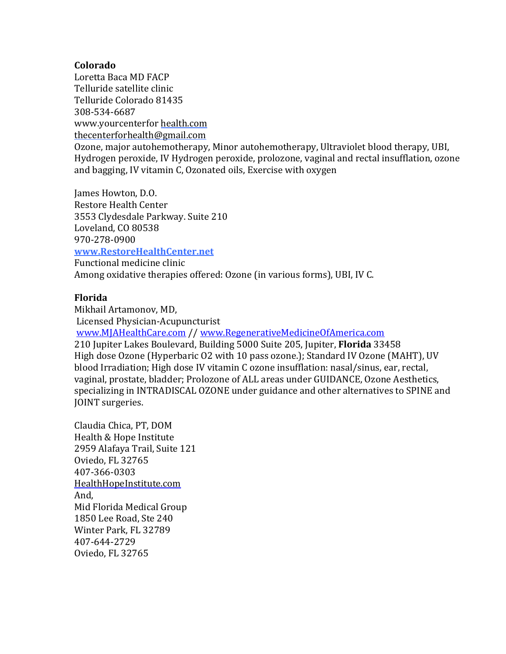### **Colorado**

Loretta Baca MD FACP Telluride satellite clinic Telluride Colorado 81435 308-534-6687 www.yourcenterfor health.com thecenterforhealth@gmail.com Ozone, major autohemotherapy, Minor autohemotherapy, Ultraviolet blood therapy, UBI, Hydrogen peroxide, IV Hydrogen peroxide, prolozone, vaginal and rectal insufflation, ozone and bagging, IV vitamin C, Ozonated oils, Exercise with oxygen

James Howton, D.O. Restore Health Center 3553 Clydesdale Parkway. Suite 210 Loveland, CO 80538 970-278-0900

### **www.RestoreHealthCenter.net**

Functional medicine clinic Among oxidative therapies offered: Ozone (in various forms), UBI, IV C.

### **Florida**

Mikhail Artamonov, MD, Licensed Physician-Acupuncturist www.MJAHealthCare.com // www.RegenerativeMedicineOfAmerica.com 210 Jupiter Lakes Boulevard, Building 5000 Suite 205, Jupiter, **Florida** 33458 High dose Ozone (Hyperbaric O2 with 10 pass ozone.); Standard IV Ozone (MAHT), UV blood Irradiation; High dose IV vitamin C ozone insufflation: nasal/sinus, ear, rectal, vaginal, prostate, bladder; Prolozone of ALL areas under GUIDANCE, Ozone Aesthetics, specializing in INTRADISCAL OZONE under guidance and other alternatives to SPINE and JOINT surgeries.

Claudia Chica, PT, DOM Health & Hope Institute 2959 Alafaya Trail, Suite 121 Oviedo, FL 32765 407-366-0303 HealthHopeInstitute.com And, Mid Florida Medical Group 1850 Lee Road, Ste 240 Winter Park, FL 32789 407-644-2729 Oviedo, FL 32765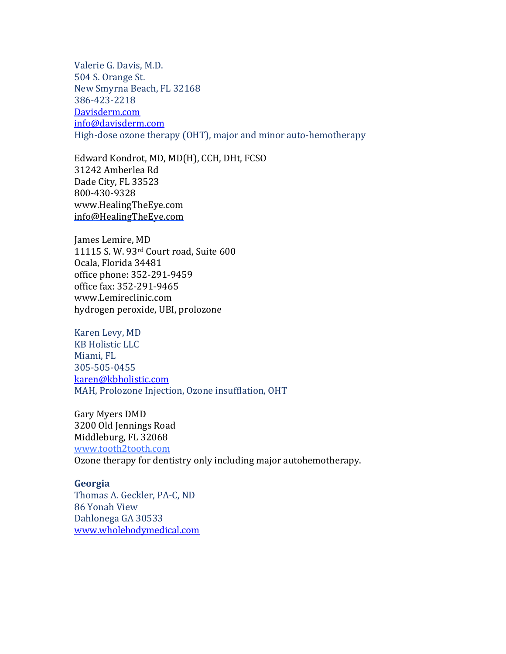Valerie G. Davis, M.D. 504 S. Orange St. New Smyrna Beach, FL 32168 386-423-2218 Davisderm.com info@davisderm.com High-dose ozone therapy (OHT), major and minor auto-hemotherapy

Edward Kondrot, MD, MD(H), CCH, DHt, FCSO 31242 Amberlea Rd Dade City, FL 33523 800-430-9328 www.HealingTheEye.com info@HealingTheEye.com

James Lemire, MD 11115 S. W. 93rd Court road, Suite 600 Ocala, Florida 34481 office phone: 352-291-9459 office fax: 352-291-9465 www.Lemireclinic.com hydrogen peroxide, UBI, prolozone

Karen Levy, MD **KB** Holistic LLC Miami, FL 305-505-0455 karen@kbholistic.com MAH, Prolozone Injection, Ozone insufflation, OHT

Gary Myers DMD 3200 Old Jennings Road Middleburg, FL 32068 www.tooth2tooth.com Ozone therapy for dentistry only including major autohemotherapy.

#### **Georgia**

Thomas A. Geckler, PA-C, ND 86 Yonah View Dahlonega GA 30533 www.wholebodymedical.com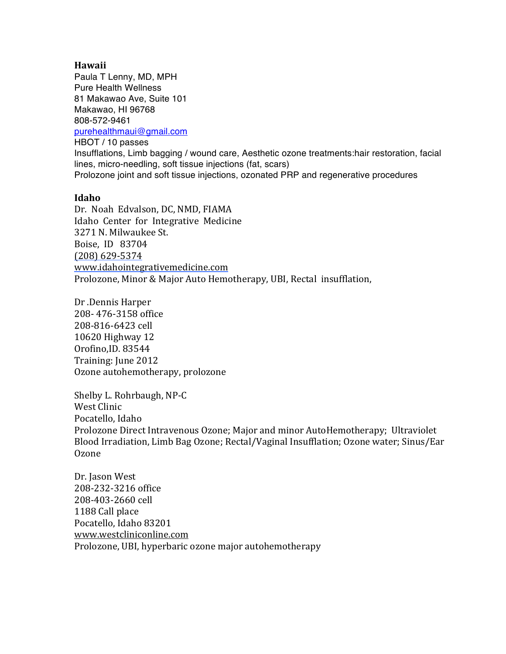#### **Hawaii**

Paula T Lenny, MD, MPH Pure Health Wellness 81 Makawao Ave, Suite 101 Makawao, HI 96768 808-572-9461 purehealthmaui@gmail.com HBOT / 10 passes Insufflations, Limb bagging / wound care, Aesthetic ozone treatments:hair restoration, facial lines, micro-needling, soft tissue injections (fat, scars) Prolozone joint and soft tissue injections, ozonated PRP and regenerative procedures

### **Idaho**

Dr. Noah Edvalson, DC, NMD, FIAMA Idaho Center for Integrative Medicine 3271 N. Milwaukee St. Boise, ID 83704 (208) 629-5374 www.idahointegrativemedicine.com Prolozone, Minor & Major Auto Hemotherapy, UBI, Rectal insufflation,

Dr .Dennis Harper 208-476-3158 office 208-816-6423 cell 10620 Highway 12 Orofino,ID. 83544 Training: June 2012 Ozone autohemotherapy, prolozone

Shelby L. Rohrbaugh, NP-C West Clinic Pocatello, Idaho Prolozone Direct Intravenous Ozone; Major and minor AutoHemotherapy; Ultraviolet Blood Irradiation, Limb Bag Ozone; Rectal/Vaginal Insufflation; Ozone water; Sinus/Ear Ozone

Dr. Jason West 208-232-3216 office 208-403-2660 cell 1188 Call place Pocatello, Idaho 83201 www.westcliniconline.com Prolozone, UBI, hyperbaric ozone major autohemotherapy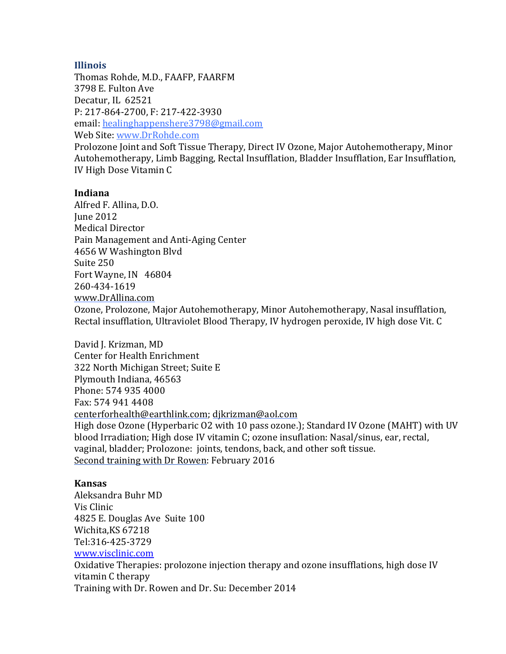### **Illinois**

Thomas Rohde, M.D., FAAFP, FAARFM 3798 E. Fulton Ave Decatur, IL 62521 P: 217-864-2700, F: 217-422-3930 email: healinghappenshere3798@gmail.com Web Site: www.DrRohde.com Prolozone Joint and Soft Tissue Therapy, Direct IV Ozone, Major Autohemotherapy, Minor Autohemotherapy, Limb Bagging, Rectal Insufflation, Bladder Insufflation, Ear Insufflation, IV High Dose Vitamin C

### **Indiana**

Alfred F. Allina, D.O. **Iune 2012** Medical Director Pain Management and Anti-Aging Center 4656 W Washington Blvd Suite 250 Fort Wayne, IN 46804 260-434-1619 www.DrAllina.com

Ozone, Prolozone, Major Autohemotherapy, Minor Autohemotherapy, Nasal insufflation, Rectal insufflation, Ultraviolet Blood Therapy, IV hydrogen peroxide, IV high dose Vit. C

David J. Krizman, MD Center for Health Enrichment 322 North Michigan Street; Suite E Plymouth Indiana, 46563 Phone: 574 935 4000 Fax: 574 941 4408 centerforhealth@earthlink.com; djkrizman@aol.com High dose Ozone (Hyperbaric O2 with 10 pass ozone.); Standard IV Ozone (MAHT) with UV blood Irradiation; High dose IV vitamin C; ozone insuflation: Nasal/sinus, ear, rectal, vaginal, bladder; Prolozone: joints, tendons, back, and other soft tissue. Second training with Dr Rowen: February 2016

### **Kansas**

Aleksandra Buhr MD Vis Clinic 4825 E. Douglas Ave Suite 100 Wichita,KS 67218 Tel:316-425-3729

www.visclinic.com

Oxidative Therapies: prolozone injection therapy and ozone insufflations, high dose IV vitamin C therapy Training with Dr. Rowen and Dr. Su: December 2014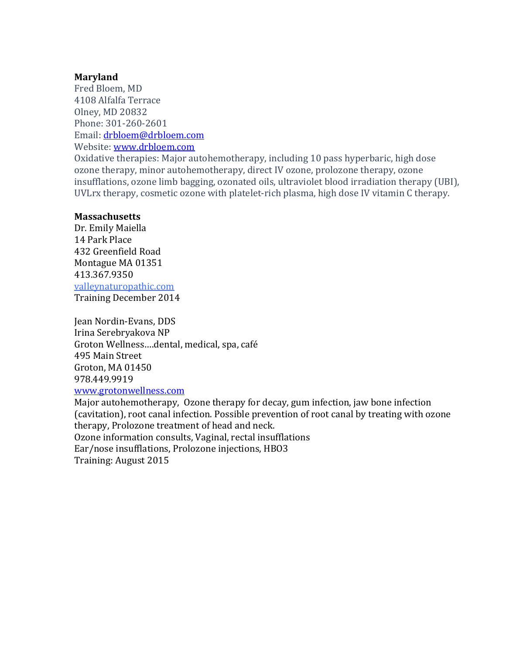### **Maryland**

Fred Bloem, MD 4108 Alfalfa Terrace Olney, MD 20832 Phone: 301-260-2601 Email: drbloem@drbloem.com Website: www.drbloem.com

Oxidative therapies: Major autohemotherapy, including 10 pass hyperbaric, high dose ozone therapy, minor autohemotherapy, direct IV ozone, prolozone therapy, ozone insufflations, ozone limb bagging, ozonated oils, ultraviolet blood irradiation therapy (UBI), UVLrx therapy, cosmetic ozone with platelet-rich plasma, high dose IV vitamin C therapy.

### **Massachusetts**

Dr. Emily Maiella 14 Park Place 432 Greenfield Road Montague MA 01351 413.367.9350 valleynaturopathic.com Training December 2014

Jean Nordin-Evans, DDS Irina Serebryakova NP Groton Wellness....dental, medical, spa, café 495 Main Street Groton, MA 01450 978.449.9919 www.grotonwellness.com

Major autohemotherapy, Ozone therapy for decay, gum infection, jaw bone infection (cavitation), root canal infection. Possible prevention of root canal by treating with ozone therapy, Prolozone treatment of head and neck. Ozone information consults, Vaginal, rectal insufflations Ear/nose insufflations, Prolozone injections, HBO3

Training: August 2015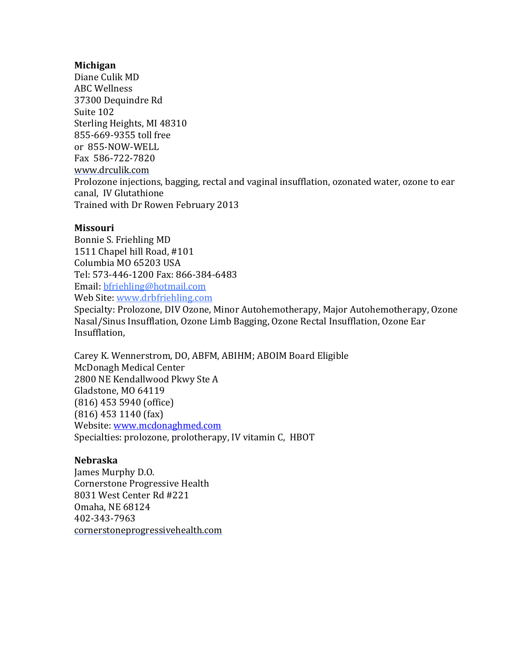### **Michigan**

Diane Culik MD ABC Wellness 37300 Dequindre Rd Suite 102 Sterling Heights, MI 48310 855-669-9355 toll free or 855-NOW-WELL Fax 586-722-7820 www.drculik.com Prolozone injections, bagging, rectal and vaginal insufflation, ozonated water, ozone to ear canal, IV Glutathione Trained with Dr Rowen February 2013

### **Missouri**

Bonnie S. Friehling MD 1511 Chapel hill Road, #101 Columbia MO 65203 USA Tel: 573-446-1200 Fax: 866-384-6483 Email: bfriehling@hotmail.com Web Site: www.drbfriehling.com

Specialty: Prolozone, DIV Ozone, Minor Autohemotherapy, Major Autohemotherapy, Ozone Nasal/Sinus Insufflation, Ozone Limb Bagging, Ozone Rectal Insufflation, Ozone Ear Insufflation, 

Carey K. Wennerstrom, DO, ABFM, ABIHM; ABOIM Board Eligible McDonagh Medical Center 2800 NE Kendallwood Pkwy Ste A Gladstone, MO 64119  $(816)$  453 5940 (office) (816) 453 1140 (fax) Website: www.mcdonaghmed.com Specialties: prolozone, prolotherapy, IV vitamin C, HBOT

## **Nebraska**

James Murphy D.O. Cornerstone Progressive Health 8031 West Center Rd #221 Omaha, NE 68124 402-343-7963 cornerstoneprogressivehealth.com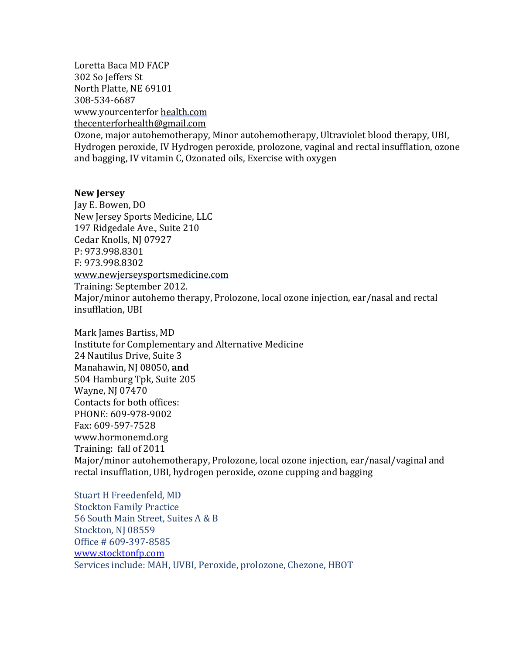Loretta Baca MD FACP 302 So Jeffers St North Platte, NE 69101 308-534-6687 www.yourcenterfor health.com

thecenterforhealth@gmail.com

Ozone, major autohemotherapy, Minor autohemotherapy, Ultraviolet blood therapy, UBI, Hydrogen peroxide, IV Hydrogen peroxide, prolozone, vaginal and rectal insufflation, ozone and bagging, IV vitamin C, Ozonated oils, Exercise with oxygen

#### **New Jersey**

Jay E. Bowen, DO New Jersey Sports Medicine, LLC 197 Ridgedale Ave., Suite 210 Cedar Knolls, NJ 07927 P: 973.998.8301 F: 973.998.8302 www.newjerseysportsmedicine.com Training: September 2012. Major/minor autohemo therapy, Prolozone, local ozone injection, ear/nasal and rectal insufflation, UBI

Mark James Bartiss, MD Institute for Complementary and Alternative Medicine 24 Nautilus Drive, Suite 3 Manahawin, NJ 08050, and 504 Hamburg Tpk, Suite 205 Wayne, NJ 07470 Contacts for both offices: PHONE: 609-978-9002 Fax: 609-597-7528 www.hormonemd.org Training: fall of 2011 Major/minor autohemotherapy, Prolozone, local ozone injection, ear/nasal/vaginal and rectal insufflation, UBI, hydrogen peroxide, ozone cupping and bagging

Stuart H Freedenfeld, MD **Stockton Family Practice** 56 South Main Street, Suites A & B Stockton, NJ 08559 Office # 609-397-8585 www.stocktonfp.com Services include: MAH, UVBI, Peroxide, prolozone, Chezone, HBOT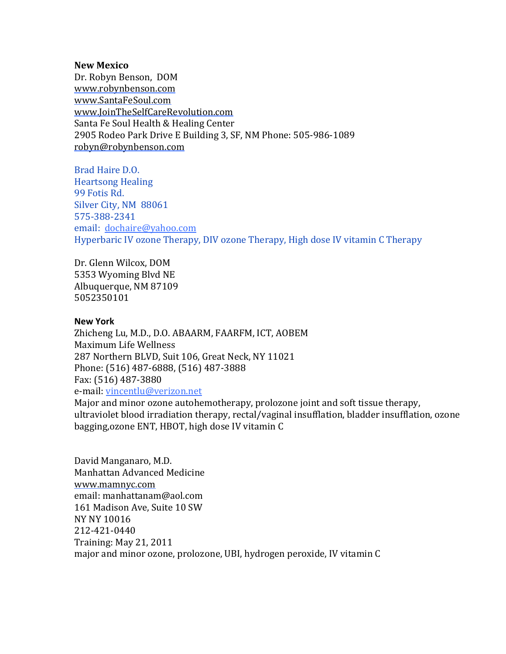#### **New Mexico**

Dr. Robyn Benson, DOM www.robynbenson.com www.SantaFeSoul.com www.JoinTheSelfCareRevolution.com Santa Fe Soul Health & Healing Center 2905 Rodeo Park Drive E Building 3, SF, NM Phone: 505-986-1089 robyn@robynbenson.com

Brad Haire D.O. **Heartsong Healing** 99 Fotis Rd. Silver City, NM 88061 575-388-2341 email: dochaire@yahoo.com Hyperbaric IV ozone Therapy, DIV ozone Therapy, High dose IV vitamin C Therapy

Dr. Glenn Wilcox, DOM 5353 Wyoming Blyd NE Albuquerque, NM 87109 5052350101

#### **New York**

Zhicheng Lu, M.D., D.O. ABAARM, FAARFM, ICT, AOBEM Maximum Life Wellness 287 Northern BLVD, Suit 106, Great Neck, NY 11021 Phone: (516) 487-6888, (516) 487-3888 Fax: (516) 487-3880 e-mail: vincentlu@verizon.net

Major and minor ozone autohemotherapy, prolozone joint and soft tissue therapy, ultraviolet blood irradiation therapy, rectal/vaginal insufflation, bladder insufflation, ozone bagging, ozone ENT, HBOT, high dose IV vitamin C

David Manganaro, M.D. Manhattan Advanced Medicine www.mamnyc.com email: manhattanam@aol.com 161 Madison Ave, Suite 10 SW **NY NY 10016** 212-421-0440 Training: May 21, 2011 major and minor ozone, prolozone, UBI, hydrogen peroxide, IV vitamin C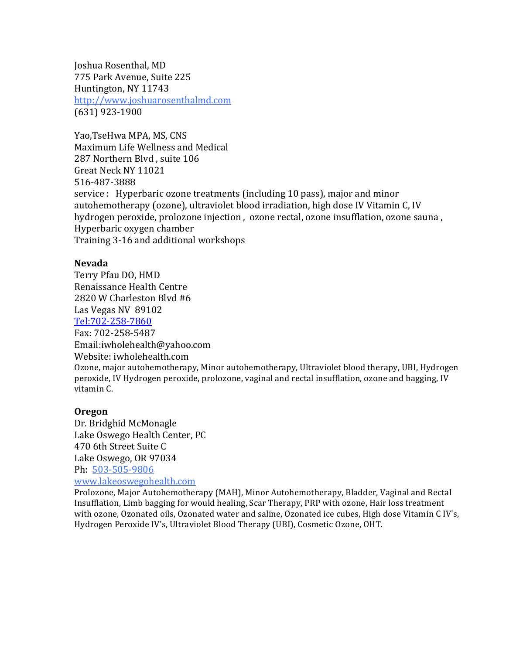Joshua Rosenthal, MD 775 Park Avenue, Suite 225 Huntington, NY 11743 http://www.joshuarosenthalmd.com (631) 923-1900

Yao, Tse Hwa MPA, MS, CNS Maximum Life Wellness and Medical 287 Northern Blvd, suite 106 Great Neck NY 11021 516-487-3888 service : Hyperbaric ozone treatments (including 10 pass), major and minor autohemotherapy (ozone), ultraviolet blood irradiation, high dose IV Vitamin C, IV hydrogen peroxide, prolozone injection, ozone rectal, ozone insufflation, ozone sauna, Hyperbaric oxygen chamber Training 3-16 and additional workshops

#### **Nevada**

Terry Pfau DO, HMD Renaissance Health Centre 2820 W Charleston Blyd #6 Las Vegas NV 89102 Tel:702-258-7860 Fax: 702-258-5487 Email:iwholehealth@yahoo.com Website: iwholehealth.com Ozone, major autohemotherapy, Minor autohemotherapy, Ultraviolet blood therapy, UBI, Hydrogen peroxide, IV Hydrogen peroxide, prolozone, vaginal and rectal insufflation, ozone and bagging, IV vitamin C.

#### **Oregon**

Dr. Bridghid McMonagle Lake Oswego Health Center, PC 470 6th Street Suite C Lake Oswego, OR 97034 Ph: 503-505-9806 www.lakeoswegohealth.com

Prolozone, Major Autohemotherapy (MAH), Minor Autohemotherapy, Bladder, Vaginal and Rectal Insufflation, Limb bagging for would healing, Scar Therapy, PRP with ozone, Hair loss treatment with ozone, Ozonated oils, Ozonated water and saline, Ozonated ice cubes, High dose Vitamin C IV's, Hydrogen Peroxide IV's, Ultraviolet Blood Therapy (UBI), Cosmetic Ozone, OHT.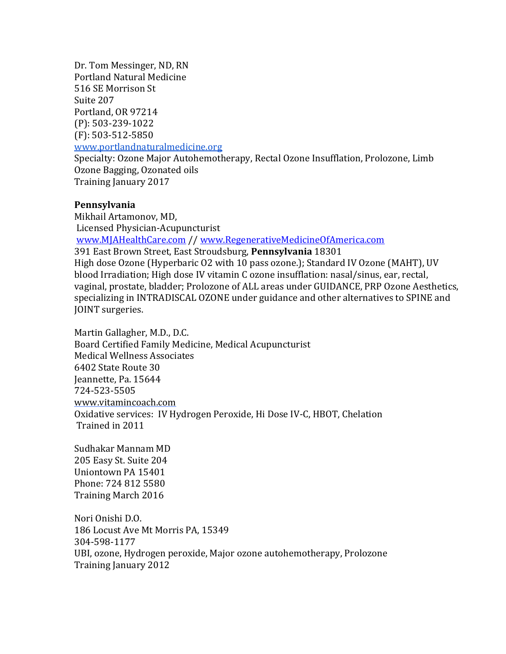Dr. Tom Messinger, ND, RN Portland Natural Medicine 516 SE Morrison St Suite 207 Portland, OR 97214 (P): 503-239-1022  $(F): 503 - 512 - 5850$ www.portlandnaturalmedicine.org Specialty: Ozone Major Autohemotherapy, Rectal Ozone Insufflation, Prolozone, Limb Ozone Bagging, Ozonated oils Training January 2017

### **Pennsylvania**

Mikhail Artamonov, MD, Licensed Physician-Acupuncturist www.MJAHealthCare.com // www.RegenerativeMedicineOfAmerica.com 391 East Brown Street, East Stroudsburg, **Pennsylvania** 18301 High dose Ozone (Hyperbaric O2 with 10 pass ozone.); Standard IV Ozone (MAHT), UV blood Irradiation; High dose IV vitamin C ozone insufflation: nasal/sinus, ear, rectal, vaginal, prostate, bladder; Prolozone of ALL areas under GUIDANCE, PRP Ozone Aesthetics, specializing in INTRADISCAL OZONE under guidance and other alternatives to SPINE and JOINT surgeries.

Martin Gallagher, M.D., D.C. Board Certified Family Medicine, Medical Acupuncturist Medical Wellness Associates 6402 State Route 30 Jeannette, Pa. 15644 724-523-5505 www.vitamincoach.com Oxidative services: IV Hydrogen Peroxide, Hi Dose IV-C, HBOT, Chelation Trained in 2011

Sudhakar Mannam MD 205 Easy St. Suite 204 Uniontown PA 15401 Phone: 724 812 5580 Training March 2016

Nori Onishi D.O. 186 Locust Ave Mt Morris PA, 15349 304-598-1177 UBI, ozone, Hydrogen peroxide, Major ozone autohemotherapy, Prolozone Training January 2012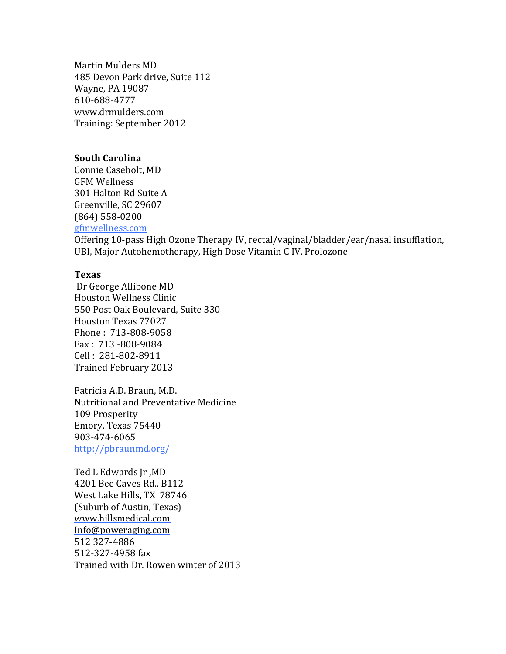Martin Mulders MD 485 Devon Park drive, Suite 112 Wayne, PA 19087 610-688-4777 www.drmulders.com Training: September 2012

#### **South Carolina**

Connie Casebolt, MD GFM Wellness 301 Halton Rd Suite A Greenville, SC 29607 (864) 558-0200 gfmwellness.com

Offering 10-pass High Ozone Therapy IV, rectal/vaginal/bladder/ear/nasal insufflation, UBI, Major Autohemotherapy, High Dose Vitamin C IV, Prolozone

#### **Texas**

Dr George Allibone MD Houston Wellness Clinic 550 Post Oak Boulevard, Suite 330 Houston Texas 77027 Phone: 713-808-9058  $Fax: 713 - 808 - 9084$ Cell : 281-802-8911 Trained February 2013

Patricia A.D. Braun, M.D. Nutritional and Preventative Medicine 109 Prosperity Emory, Texas 75440 903-474-6065 http://pbraunmd.org/

Ted L Edwards Jr, MD 4201 Bee Caves Rd., B112 West Lake Hills, TX 78746 (Suburb of Austin, Texas) www.hillsmedical.com Info@poweraging.com 512 327-4886 512-327-4958 fax Trained with Dr. Rowen winter of 2013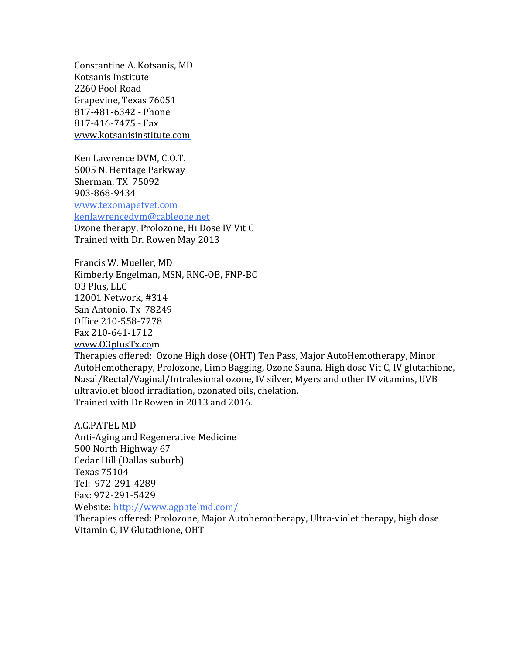Constantine A. Kotsanis, MD Kotsanis Institute 2260 Pool Road Grapevine, Texas 76051 817-481-6342 - Phone 817-416-7475 - Fax www.kotsanisinstitute.com

Ken Lawrence DVM, C.O.T. 5005 N. Heritage Parkway Sherman, TX 75092 903-868-9434

www.texomapetvet.com

kenlawrencedvm@cableone.net

Ozone therapy, Prolozone, Hi Dose IV Vit C Trained with Dr. Rowen May 2013

Francis W. Mueller, MD Kimberly Engelman, MSN, RNC-OB, FNP-BC 03 Plus, LLC 12001 Network, #314 San Antonio, Tx 78249 Office 210-558-7778 Fax 210-641-1712 www.O3plusTx.com

Therapies offered: Ozone High dose (OHT) Ten Pass, Major AutoHemotherapy, Minor AutoHemotherapy, Prolozone, Limb Bagging, Ozone Sauna, High dose Vit C, IV glutathione, Nasal/Rectal/Vaginal/Intralesional ozone, IV silver, Myers and other IV vitamins, UVB ultraviolet blood irradiation, ozonated oils, chelation. Trained with Dr Rowen in 2013 and 2016.

A.G. PATEL MD Anti-Aging and Regenerative Medicine 500 North Highway 67 Cedar Hill (Dallas suburb) Texas 75104 Tel: 972-291-4289 Fax: 972-291-5429 Website: http://www.agpatelmd.com/ Therapies offered: Prolozone, Major Autohemotherapy, Ultra-violet therapy, high dose

Vitamin C, IV Glutathione, OHT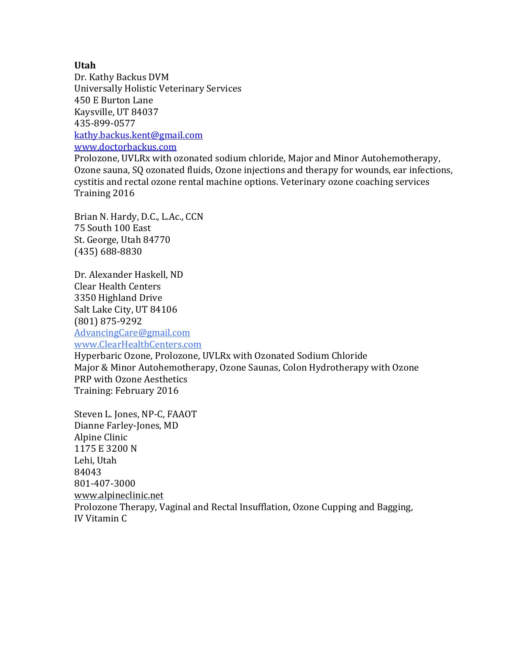### **Utah**

Dr. Kathy Backus DVM Universally Holistic Veterinary Services 450 E Burton Lane Kaysville, UT 84037 435-899-0577 kathy.backus.kent@gmail.com www.doctorbackus.com

Prolozone, UVLRx with ozonated sodium chloride, Major and Minor Autohemotherapy, Ozone sauna, SQ ozonated fluids, Ozone injections and therapy for wounds, ear infections, cystitis and rectal ozone rental machine options. Veterinary ozone coaching services Training 2016

Brian N. Hardy, D.C., L.Ac., CCN 75 South 100 East St. George, Utah 84770 (435) 688-8830

Dr. Alexander Haskell, ND Clear Health Centers 3350 Highland Drive Salt Lake City, UT 84106 (801) 875-9292 AdvancingCare@gmail.com www.ClearHealthCenters.com

Hyperbaric Ozone, Prolozone, UVLRx with Ozonated Sodium Chloride Major & Minor Autohemotherapy, Ozone Saunas, Colon Hydrotherapy with Ozone PRP with Ozone Aesthetics Training: February 2016

Steven L. Jones, NP-C, FAAOT Dianne Farley-Jones, MD Alpine Clinic 1175 E 3200 N Lehi, Utah 84043 801-407-3000 www.alpineclinic.net Prolozone Therapy, Vaginal and Rectal Insufflation, Ozone Cupping and Bagging, IV Vitamin C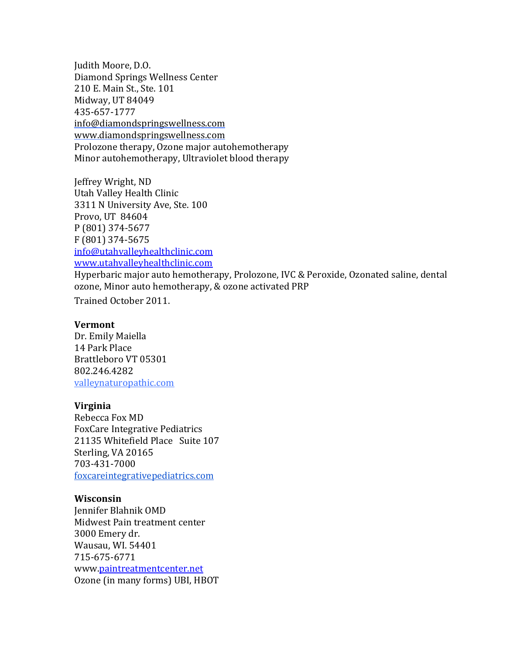Judith Moore, D.O. Diamond Springs Wellness Center 210 E. Main St., Ste. 101 Midway, UT 84049 435-657-1777 info@diamondspringswellness.com www.diamondspringswellness.com Prolozone therapy, Ozone major autohemotherapy Minor autohemotherapy, Ultraviolet blood therapy

Jeffrey Wright, ND Utah Valley Health Clinic 3311 N University Ave, Ste. 100 Provo, UT 84604 P (801) 374-5677 F (801) 374-5675 info@utahvalleyhealthclinic.com www.utahvalleyhealthclinic.com

Hyperbaric major auto hemotherapy, Prolozone, IVC & Peroxide, Ozonated saline, dental ozone, Minor auto hemotherapy, & ozone activated PRP

Trained October 2011.

#### **Vermont**

Dr. Emily Maiella 14 Park Place Brattleboro VT 05301 802.246.4282 valleynaturopathic.com

### **Virginia**

Rebecca Fox MD FoxCare Integrative Pediatrics 21135 Whitefield Place Suite 107 Sterling, VA 20165 703-431-7000 foxcareintegrativepediatrics.com

### **Wisconsin**

Jennifer Blahnik OMD Midwest Pain treatment center 3000 Emery dr. Wausau, WI. 54401 715-675-6771 www.paintreatmentcenter.net Ozone (in many forms) UBI, HBOT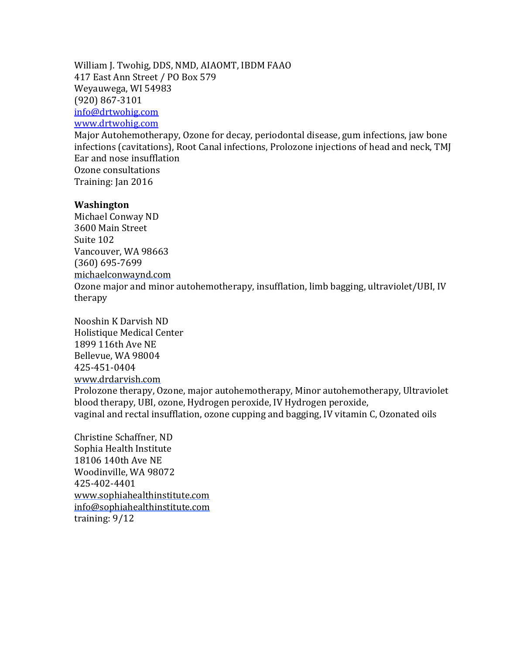William J. Twohig, DDS, NMD, AIAOMT, IBDM FAAO 417 East Ann Street / PO Box 579 Weyauwega, WI 54983 (920) 867-3101 info@drtwohig.com www.drtwohig.com Major Autohemotherapy, Ozone for decay, periodontal disease, gum infections, jaw bone

infections (cavitations), Root Canal infections, Prolozone injections of head and neck, TMJ Ear and nose insufflation Ozone consultations Training: Jan 2016

#### **Washington**

Michael Conway ND 3600 Main Street Suite 102 Vancouver, WA 98663 (360) 695-7699 michaelconwaynd.com

Ozone major and minor autohemotherapy, insufflation, limb bagging, ultraviolet/UBI, IV therapy

Nooshin K Darvish ND Holistique Medical Center 1899 116th Ave NE Bellevue, WA 98004 425-451-0404 www.drdarvish.com Prolozone therapy, Ozone, major autohemotherapy, Minor autohemotherapy, Ultraviolet blood therapy, UBI, ozone, Hydrogen peroxide, IV Hydrogen peroxide, vaginal and rectal insufflation, ozone cupping and bagging, IV vitamin C, Ozonated oils

Christine Schaffner, ND Sophia Health Institute 18106 140th Ave NE Woodinville, WA 98072 425-402-4401 www.sophiahealthinstitute.com info@sophiahealthinstitute.com training: 9/12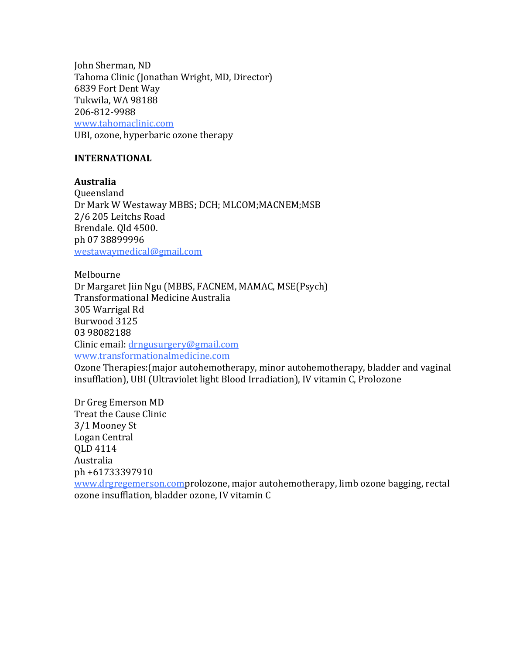John Sherman, ND Tahoma Clinic (Jonathan Wright, MD, Director) 6839 Fort Dent Way Tukwila, WA 98188 206-812-9988 www.tahomaclinic.com UBI, ozone, hyperbaric ozone therapy

### **INTERNATIONAL**

**Australia**  Queensland Dr Mark W Westaway MBBS; DCH; MLCOM; MACNEM; MSB 2/6 205 Leitchs Road Brendale. Old 4500. ph 07 38899996 westawaymedical@gmail.com

Melbourne Dr Margaret Jiin Ngu (MBBS, FACNEM, MAMAC, MSE(Psych) Transformational Medicine Australia 305 Warrigal Rd Burwood 3125 03 98082188 Clinic email:  $drngusureerv@gmail.com$ www.transformationalmedicine.com

Ozone Therapies: (major autohemotherapy, minor autohemotherapy, bladder and vaginal insufflation), UBI (Ultraviolet light Blood Irradiation), IV vitamin C, Prolozone

Dr Greg Emerson MD Treat the Cause Clinic 3/1 Mooney St Logan Central QLD 4114 Australia ph +61733397910 www.drgregemerson.comprolozone, major autohemotherapy, limb ozone bagging, rectal ozone insufflation, bladder ozone, IV vitamin C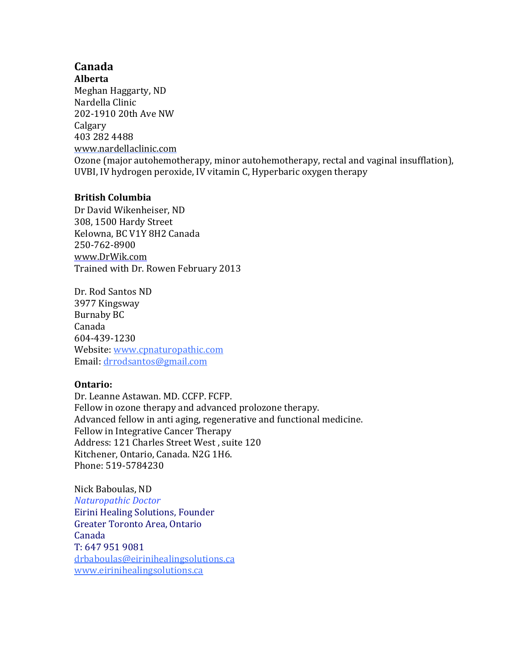# **Canada**

**Alberta** Meghan Haggarty, ND Nardella Clinic 202-1910 20th Ave NW Calgary 403 282 4488 www.nardellaclinic.com

Ozone (major autohemotherapy, minor autohemotherapy, rectal and vaginal insufflation), UVBI, IV hydrogen peroxide, IV vitamin C, Hyperbaric oxygen therapy

## **British Columbia**

Dr David Wikenheiser, ND 308, 1500 Hardy Street Kelowna, BC V1Y 8H2 Canada 250-762-8900 www.DrWik.com Trained with Dr. Rowen February 2013

Dr. Rod Santos ND 3977 Kingsway Burnaby BC Canada 604-439-1230 Website: www.cpnaturopathic.com Email: drrodsantos@gmail.com

### **Ontario:**

Dr. Leanne Astawan. MD. CCFP. FCFP. Fellow in ozone therapy and advanced prolozone therapy. Advanced fellow in anti aging, regenerative and functional medicine. Fellow in Integrative Cancer Therapy Address: 121 Charles Street West, suite 120 Kitchener, Ontario, Canada. N2G 1H6. Phone: 519-5784230

Nick Baboulas, ND *Naturopathic Doctor* Eirini Healing Solutions, Founder Greater Toronto Area, Ontario Canada T: 647 951 9081 drbaboulas@eirinihealingsolutions.ca www.eirinihealingsolutions.ca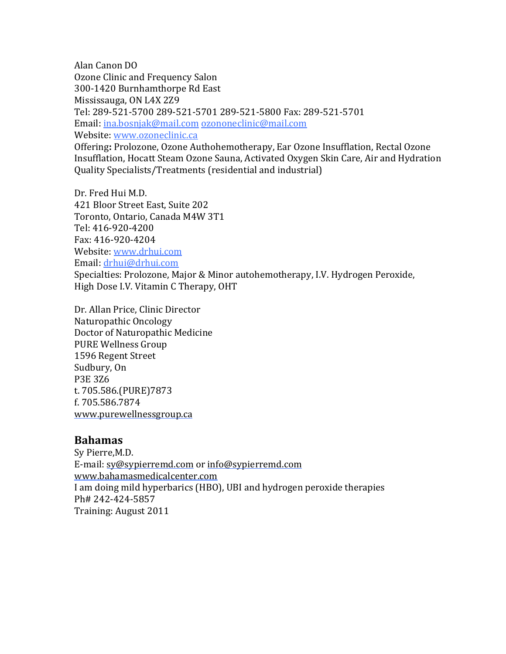Alan Canon DO Ozone Clinic and Frequency Salon 300-1420 Burnhamthorpe Rd East Mississauga, ON L4X 2Z9 Tel: 289-521-5700 289-521-5701 289-521-5800 Fax: 289-521-5701 Email: ina.bosnjak@mail.com ozononeclinic@mail.com Website: www.ozoneclinic.ca Offering: Prolozone, Ozone Authohemotherapy, Ear Ozone Insufflation, Rectal Ozone Insufflation, Hocatt Steam Ozone Sauna, Activated Oxygen Skin Care, Air and Hydration Quality Specialists/Treatments (residential and industrial)

Dr. Fred Hui M.D. 421 Bloor Street East, Suite 202 Toronto, Ontario, Canada M4W 3T1 Tel: 416-920-4200 Fax: 416-920-4204 Website: www.drhui.com Email: drhui@drhui.com Specialties: Prolozone, Major & Minor autohemotherapy, I.V. Hydrogen Peroxide, High Dose I.V. Vitamin C Therapy, OHT

Dr. Allan Price, Clinic Director Naturopathic Oncology Doctor of Naturopathic Medicine PURE Wellness Group 1596 Regent Street Sudbury, On P3E 3Z6 t. 705.586.(PURE)7873 f. 705.586.7874 www.purewellnessgroup.ca

### **Bahamas**

Sy Pierre, M.D. E-mail: sy@sypierremd.com or info@sypierremd.com www.bahamasmedicalcenter.com I am doing mild hyperbarics (HBO), UBI and hydrogen peroxide therapies Ph# 242-424-5857 Training: August 2011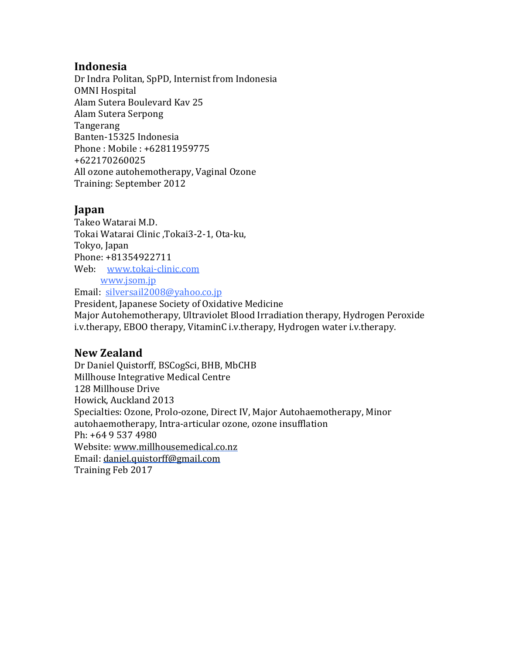## **Indonesia**

Dr Indra Politan, SpPD, Internist from Indonesia **OMNI Hospital** Alam Sutera Boulevard Kav 25 Alam Sutera Serpong Tangerang Banten-15325 Indonesia Phone: Mobile: +62811959775 +622170260025 All ozone autohemotherapy, Vaginal Ozone Training: September 2012

## **Japan**

Takeo Watarai M.D. Tokai Watarai Clinic ,Tokai3-2-1, Ota-ku, Tokyo, Japan Phone: +81354922711 Web: www.tokai-clinic.com www.jsom.jp

Email: silversail2008@yahoo.co.jp President, Japanese Society of Oxidative Medicine Major Autohemotherapy, Ultraviolet Blood Irradiation therapy, Hydrogen Peroxide i.v.therapy, EBOO therapy, VitaminC i.v.therapy, Hydrogen water i.v.therapy.

## **New Zealand**

Dr Daniel Quistorff, BSCogSci, BHB, MbCHB Millhouse Integrative Medical Centre 128 Millhouse Drive Howick, Auckland 2013 Specialties: Ozone, Prolo-ozone, Direct IV, Major Autohaemotherapy, Minor autohaemotherapy, Intra-articular ozone, ozone insufflation Ph: +64 9 537 4980 Website: www.millhousemedical.co.nz Email: daniel.quistorff@gmail.com Training Feb 2017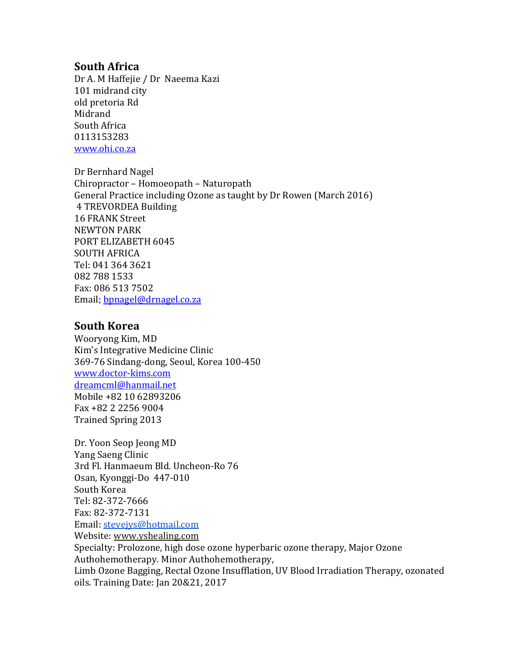## **South Africa**

Dr A. M Haffejie / Dr Naeema Kazi 101 midrand city old pretoria Rd Midrand South Africa 0113153283 www.ohi.co.za

Dr Bernhard Nagel Chiropractor – Homoeopath – Naturopath General Practice including Ozone as taught by Dr Rowen (March 2016) 4 TREVORDEA Building 16 FRANK Street **NEWTON PARK** PORT ELIZABETH 6045 SOUTH AFRICA Tel: 041 364 3621 082 788 1533 Fax: 086 513 7502 Email; bpnagel@drnagel.co.za

## **South Korea**

Wooryong Kim, MD Kim's Integrative Medicine Clinic 369-76 Sindang-dong, Seoul, Korea 100-450 www.doctor-kims.com dreamcml@hanmail.net Mobile +82 10 62893206 Fax +82 2 2256 9004 Trained Spring 2013

Dr. Yoon Seop Jeong MD Yang Saeng Clinic 3rd Fl. Hanmaeum Bld. Uncheon-Ro 76 Osan, Kyonggi-Do 447-010 South Korea Tel: 82-372-7666 Fax: 82-372-7131 Email: stevejys@hotmail.com Website: www.yshealing.com Specialty: Prolozone, high dose ozone hyperbaric ozone therapy, Major Ozone Authohemotherapy. Minor Authohemotherapy, Limb Ozone Bagging, Rectal Ozone Insufflation, UV Blood Irradiation Therapy, ozonated oils. Training Date: Jan 20&21, 2017